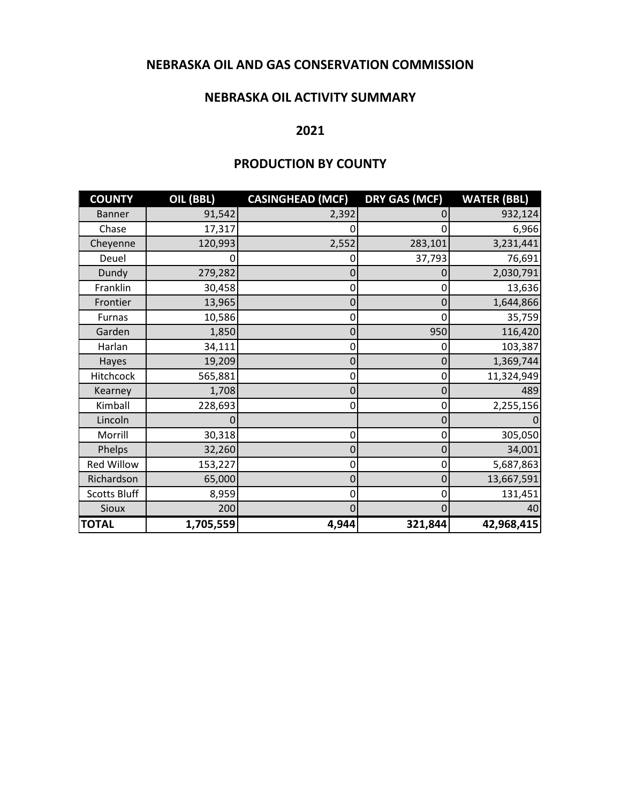### **NEBRASKA OIL AND GAS CONSERVATION COMMISSION**

#### **NEBRASKA OIL ACTIVITY SUMMARY**

#### **2021**

### **PRODUCTION BY COUNTY**

| <b>COUNTY</b>       | OIL (BBL) | <b>CASINGHEAD (MCF)</b> | <b>DRY GAS (MCF)</b> | <b>WATER (BBL)</b> |
|---------------------|-----------|-------------------------|----------------------|--------------------|
| <b>Banner</b>       | 91,542    | 2,392                   |                      | 932,124            |
| Chase               | 17,317    | 0                       |                      | 6,966              |
| Cheyenne            | 120,993   | 2,552                   | 283,101              | 3,231,441          |
| Deuel               |           | 0                       | 37,793               | 76,691             |
| Dundy               | 279,282   | 0                       | 0                    | 2,030,791          |
| Franklin            | 30,458    | 0                       | 0                    | 13,636             |
| Frontier            | 13,965    | 0                       | 0                    | 1,644,866          |
| Furnas              | 10,586    | 0                       | 0                    | 35,759             |
| Garden              | 1,850     | 0                       | 950                  | 116,420            |
| Harlan              | 34,111    | 0                       | 0                    | 103,387            |
| Hayes               | 19,209    | 0                       | 0                    | 1,369,744          |
| Hitchcock           | 565,881   | 0                       | 0                    | 11,324,949         |
| Kearney             | 1,708     | $\mathbf 0$             | 0                    | 489                |
| Kimball             | 228,693   | 0                       | 0                    | 2,255,156          |
| Lincoln             |           |                         | 0                    |                    |
| Morrill             | 30,318    | 0                       | 0                    | 305,050            |
| Phelps              | 32,260    | $\mathbf 0$             | 0                    | 34,001             |
| <b>Red Willow</b>   | 153,227   | 0                       | 0                    | 5,687,863          |
| Richardson          | 65,000    | 0                       | 0                    | 13,667,591         |
| <b>Scotts Bluff</b> | 8,959     | 0                       | 0                    | 131,451            |
| Sioux               | 200       | 0                       | 0                    | 40                 |
| <b>TOTAL</b>        | 1,705,559 | 4,944                   | 321,844              | 42,968,415         |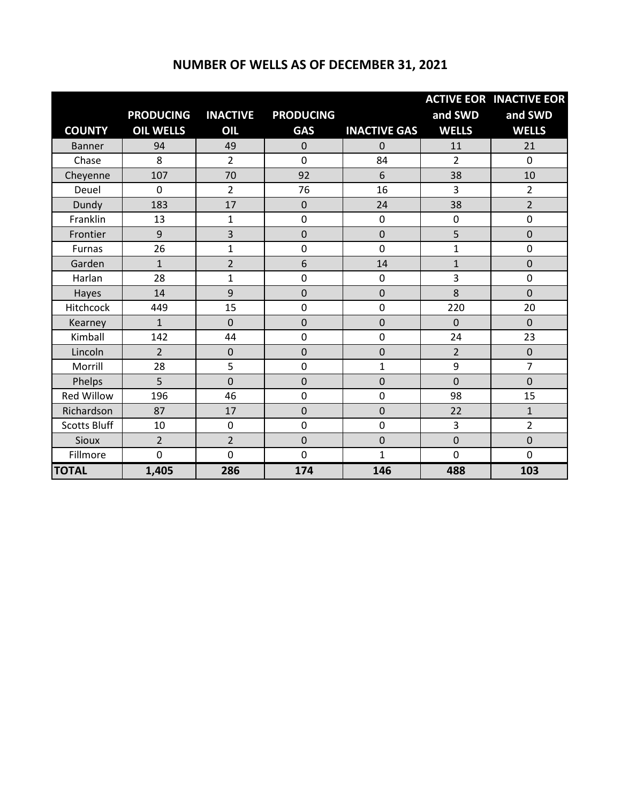### **NUMBER OF WELLS AS OF DECEMBER 31, 2021**

|                     |                  |                 |                  |                     |                | <b>ACTIVE EOR INACTIVE EOR</b> |
|---------------------|------------------|-----------------|------------------|---------------------|----------------|--------------------------------|
|                     | <b>PRODUCING</b> | <b>INACTIVE</b> | <b>PRODUCING</b> |                     | and SWD        | and SWD                        |
| <b>COUNTY</b>       | <b>OIL WELLS</b> | OIL             | <b>GAS</b>       | <b>INACTIVE GAS</b> | <b>WELLS</b>   | <b>WELLS</b>                   |
| <b>Banner</b>       | 94               | 49              | $\overline{0}$   | 0                   | 11             | 21                             |
| Chase               | 8                | $\overline{2}$  | $\overline{0}$   | 84                  | $\overline{2}$ | 0                              |
| Cheyenne            | 107              | 70              | 92               | 6                   | 38             | 10                             |
| Deuel               | 0                | $\overline{2}$  | 76               | 16                  | 3              | $\overline{2}$                 |
| Dundy               | 183              | 17              | $\mathbf 0$      | 24                  | 38             | $\overline{2}$                 |
| Franklin            | 13               | $\mathbf{1}$    | $\mathbf 0$      | $\mathbf 0$         | $\mathbf 0$    | 0                              |
| Frontier            | 9                | 3               | $\overline{0}$   | $\overline{0}$      | 5              | $\mathbf 0$                    |
| <b>Furnas</b>       | 26               | $\mathbf{1}$    | 0                | $\mathbf 0$         | 1              | 0                              |
| Garden              | $\mathbf{1}$     | $\overline{2}$  | 6                | 14                  | $\mathbf{1}$   | $\mathbf 0$                    |
| Harlan              | 28               | $\mathbf{1}$    | $\mathbf 0$      | $\mathbf 0$         | 3              | 0                              |
| Hayes               | 14               | 9               | $\mathbf 0$      | 0                   | 8              | $\overline{0}$                 |
| Hitchcock           | 449              | 15              | $\mathbf 0$      | $\mathbf 0$         | 220            | 20                             |
| Kearney             | $\mathbf{1}$     | $\overline{0}$  | $\overline{0}$   | $\overline{0}$      | $\overline{0}$ | $\overline{0}$                 |
| Kimball             | 142              | 44              | $\mathbf 0$      | $\mathbf 0$         | 24             | 23                             |
| Lincoln             | $\overline{2}$   | $\mathbf 0$     | $\mathbf 0$      | $\mathbf 0$         | $\overline{2}$ | $\mathbf 0$                    |
| Morrill             | 28               | 5               | $\overline{0}$   | 1                   | 9              | $\overline{7}$                 |
| Phelps              | 5                | $\mathbf 0$     | $\overline{0}$   | $\mathbf 0$         | $\overline{0}$ | $\overline{0}$                 |
| <b>Red Willow</b>   | 196              | 46              | 0                | $\mathbf 0$         | 98             | 15                             |
| Richardson          | 87               | 17              | 0                | $\mathbf 0$         | 22             | $\mathbf{1}$                   |
| <b>Scotts Bluff</b> | 10               | 0               | $\mathbf 0$      | $\mathbf 0$         | 3              | $\overline{2}$                 |
| <b>Sioux</b>        | $\overline{2}$   | $\overline{2}$  | $\mathbf 0$      | $\overline{0}$      | $\mathbf 0$    | $\overline{0}$                 |
| Fillmore            | $\overline{0}$   | 0               | $\mathbf 0$      | 1                   | $\mathbf 0$    | 0                              |
| <b>TOTAL</b>        | 1,405            | 286             | 174              | 146                 | 488            | 103                            |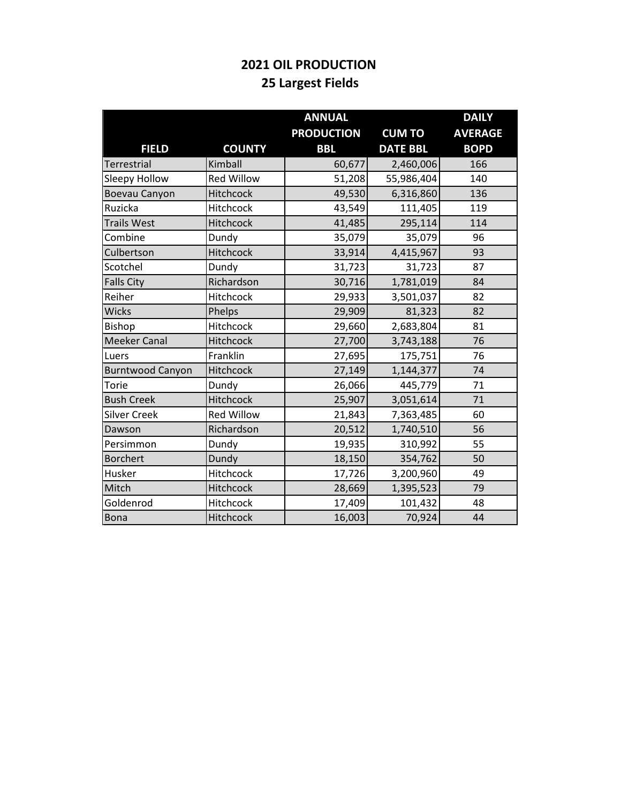# **2021 OIL PRODUCTION 25 Largest Fields**

|                         |                   | <b>ANNUAL</b>     |                 | <b>DAILY</b>   |
|-------------------------|-------------------|-------------------|-----------------|----------------|
|                         |                   | <b>PRODUCTION</b> | <b>CUM TO</b>   | <b>AVERAGE</b> |
| <b>FIELD</b>            | <b>COUNTY</b>     | <b>BBL</b>        | <b>DATE BBL</b> | <b>BOPD</b>    |
| Terrestrial             | Kimball           | 60,677            | 2,460,006       | 166            |
| Sleepy Hollow           | <b>Red Willow</b> | 51,208            | 55,986,404      | 140            |
| Boevau Canyon           | Hitchcock         | 49,530            | 6,316,860       | 136            |
| Ruzicka                 | Hitchcock         | 43,549            | 111,405         | 119            |
| <b>Trails West</b>      | Hitchcock         | 41,485            | 295,114         | 114            |
| Combine                 | Dundy             | 35,079            | 35,079          | 96             |
| Culbertson              | Hitchcock         | 33,914            | 4,415,967       | 93             |
| Scotchel                | Dundy             | 31,723            | 31,723          | 87             |
| <b>Falls City</b>       | Richardson        | 30,716            | 1,781,019       | 84             |
| Reiher                  | Hitchcock         | 29,933            | 3,501,037       | 82             |
| <b>Wicks</b>            | Phelps            | 29,909            | 81,323          | 82             |
| Bishop                  | Hitchcock         | 29,660            | 2,683,804       | 81             |
| <b>Meeker Canal</b>     | Hitchcock         | 27,700            | 3,743,188       | 76             |
| Luers                   | Franklin          | 27,695            | 175,751         | 76             |
| <b>Burntwood Canyon</b> | Hitchcock         | 27,149            | 1,144,377       | 74             |
| Torie                   | Dundy             | 26,066            | 445,779         | 71             |
| <b>Bush Creek</b>       | Hitchcock         | 25,907            | 3,051,614       | 71             |
| <b>Silver Creek</b>     | <b>Red Willow</b> | 21,843            | 7,363,485       | 60             |
| Dawson                  | Richardson        | 20,512            | 1,740,510       | 56             |
| Persimmon               | Dundy             | 19,935            | 310,992         | 55             |
| <b>Borchert</b>         | Dundy             | 18,150            | 354,762         | 50             |
| Husker                  | Hitchcock         | 17,726            | 3,200,960       | 49             |
| Mitch                   | Hitchcock         | 28,669            | 1,395,523       | 79             |
| Goldenrod               | Hitchcock         | 17,409            | 101,432         | 48             |
| Bona                    | Hitchcock         | 16,003            | 70,924          | 44             |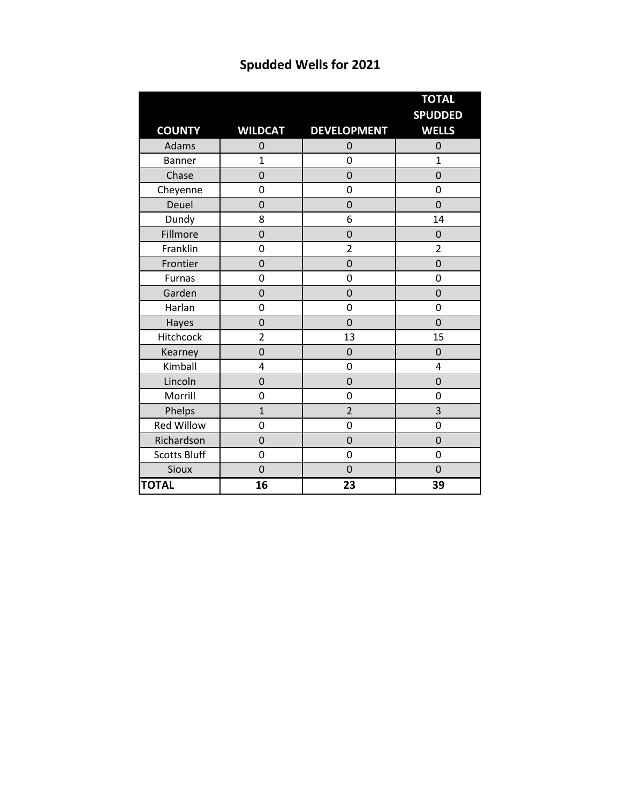|                     |                |                    | <b>TOTAL</b>                   |
|---------------------|----------------|--------------------|--------------------------------|
|                     |                |                    | <b>SPUDDED</b><br><b>WELLS</b> |
| <b>COUNTY</b>       | <b>WILDCAT</b> | <b>DEVELOPMENT</b> |                                |
| Adams               | 0              | 0                  | $\mathbf 0$                    |
| <b>Banner</b>       | $\mathbf{1}$   | 0                  | $\mathbf{1}$                   |
| Chase               | $\overline{0}$ | $\overline{0}$     | $\overline{0}$                 |
| Cheyenne            | 0              | 0                  | 0                              |
| Deuel               | $\overline{0}$ | $\overline{0}$     | $\mathbf 0$                    |
| Dundy               | 8              | 6                  | 14                             |
| Fillmore            | $\overline{0}$ | $\overline{0}$     | $\mathbf 0$                    |
| Franklin            | 0              | $\overline{2}$     | $\overline{2}$                 |
| Frontier            | 0              | 0                  | $\mathbf 0$                    |
| Furnas              | 0              | 0                  | 0                              |
| Garden              | $\overline{0}$ | $\overline{0}$     | $\overline{0}$                 |
| Harlan              | 0              | 0                  | 0                              |
| Hayes               | $\overline{0}$ | $\overline{0}$     | 0                              |
| Hitchcock           | $\overline{2}$ | 13                 | 15                             |
| Kearney             | 0              | 0                  | $\mathbf 0$                    |
| Kimball             | 4              | 0                  | 4                              |
| Lincoln             | $\overline{0}$ | 0                  | $\mathbf 0$                    |
| Morrill             | 0              | 0                  | 0                              |
| Phelps              | $\overline{1}$ | $\overline{2}$     | 3                              |
| <b>Red Willow</b>   | 0              | 0                  | 0                              |
| Richardson          | $\overline{0}$ | 0                  | $\overline{0}$                 |
| <b>Scotts Bluff</b> | 0              | 0                  | 0                              |
| Sioux               | $\mathbf 0$    | $\overline{0}$     | $\mathbf 0$                    |
| <b>TOTAL</b>        | 16             | 23                 | 39                             |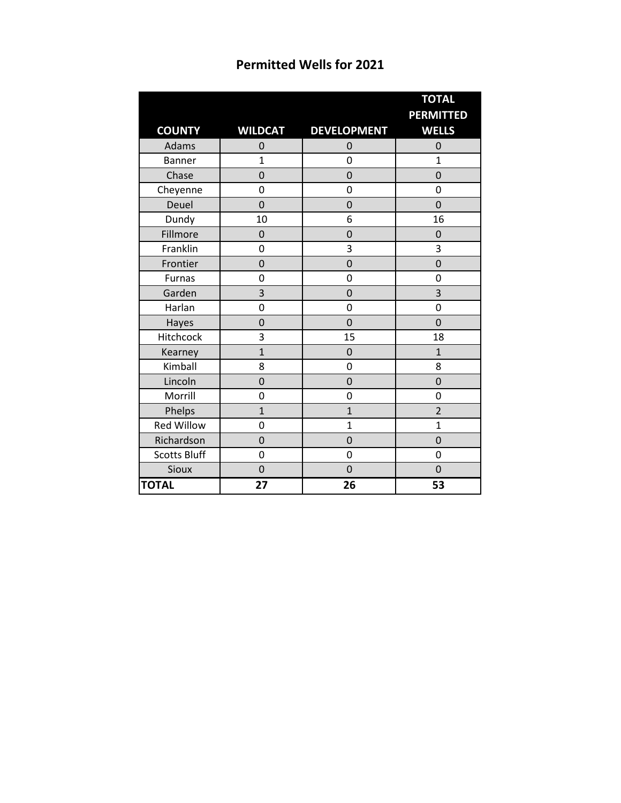| <b>Permitted Wells for 2021</b> |  |  |  |
|---------------------------------|--|--|--|
|---------------------------------|--|--|--|

|                     |                |                    | <b>TOTAL</b>                     |
|---------------------|----------------|--------------------|----------------------------------|
| <b>COUNTY</b>       | <b>WILDCAT</b> | <b>DEVELOPMENT</b> | <b>PERMITTED</b><br><b>WELLS</b> |
| Adams               | 0              | 0                  | $\mathbf 0$                      |
| <b>Banner</b>       | $\mathbf{1}$   | 0                  | 1                                |
| Chase               | $\overline{0}$ | $\overline{0}$     | 0                                |
| Cheyenne            | 0              | 0                  | 0                                |
| Deuel               | $\overline{0}$ | $\overline{0}$     | $\overline{0}$                   |
| Dundy               | 10             | 6                  | 16                               |
| Fillmore            | $\mathbf 0$    | 0                  | $\mathbf 0$                      |
| Franklin            | 0              | 3                  | 3                                |
| Frontier            | 0              | $\mathbf 0$        | $\overline{0}$                   |
| Furnas              | 0              | 0                  | 0                                |
| Garden              | 3              | 0                  | 3                                |
| Harlan              | $\overline{0}$ | 0                  | 0                                |
| Hayes               | 0              | $\overline{0}$     | $\mathbf 0$                      |
| Hitchcock           | 3              | 15                 | 18                               |
| Kearney             | $\overline{1}$ | $\mathbf 0$        | $\overline{1}$                   |
| Kimball             | 8              | 0                  | 8                                |
| Lincoln             | $\overline{0}$ | $\mathbf 0$        | $\mathbf 0$                      |
| Morrill             | 0              | 0                  | 0                                |
| Phelps              | $\overline{1}$ | $\overline{1}$     | $\overline{2}$                   |
| <b>Red Willow</b>   | 0              | $\overline{1}$     | $\overline{1}$                   |
| Richardson          | $\overline{0}$ | 0                  | $\overline{0}$                   |
| <b>Scotts Bluff</b> | 0              | 0                  | 0                                |
| Sioux               | $\mathbf 0$    | $\overline{0}$     | $\mathbf 0$                      |
| <b>TOTAL</b>        | 27             | 26                 | 53                               |